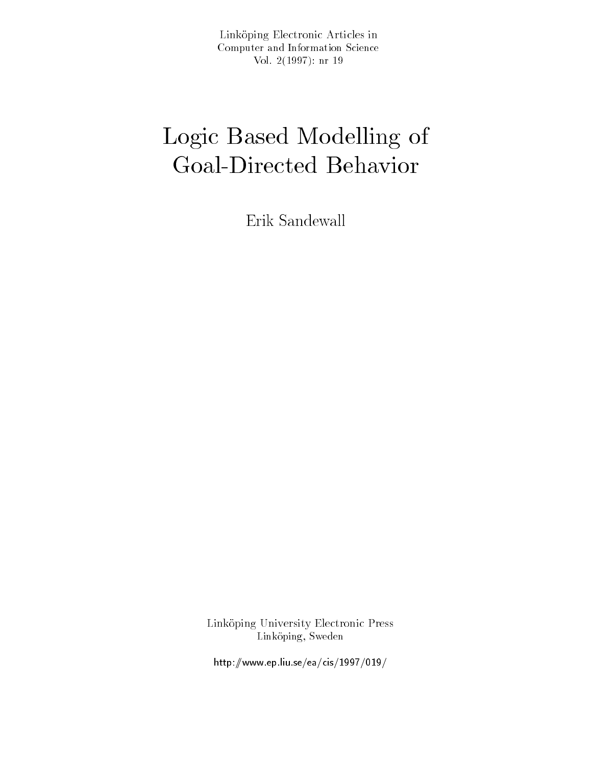Link-oping Electronic Articles in Computer and Information Science $V \cup I$ .  $\Delta$  (  $1 \cup \partial$  )  $I$  ). III  $I \cup$ 

# Logic Based Modelling of Government Behavior behavior behavior behavior behavior deserts and controlled behavior behavior behavioren be

Erik Sandewall

Link-oping University Electronic Press Link oping Sweden

http-wwwepliuseeacis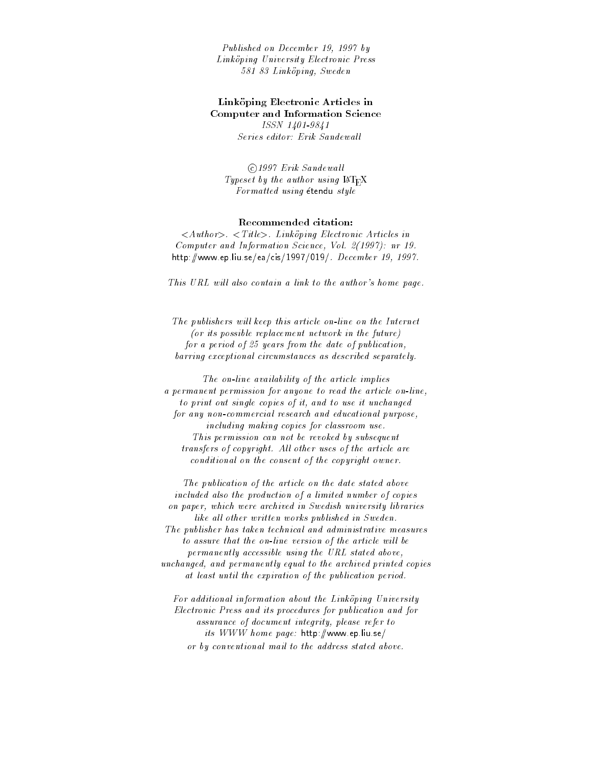Published on December - - by Linkoping University Electronic Press - Linkoping Sweden

# Link-oping Electronic Articles in Computer and Information Science

ISSN - - -Series editor: Erik Sandewall

©1997 Erik Sandewall Typeset by the author using  $\text{IATEX}$ Formatted using étendu style

#### Recommended citation

Authority Authority Constituting Electronic Articles in Articles Computer and Information Science Vol - nr http://www.thelia.com/ent/and/ent/and/and/ent/and/and/ent/and/ent/and/ent/and/ent/and/ent/and/ent/and/ent/and/

This URL will also contain a link to the author's home page.

The publishers will keep this article on-line on the Internet  $($ or its possible replacement network in the future $)$ for a period of  $25$  years from the date of publication, barring exceptional circumstances as described separately

The on-line availability of the article implies a permanent permission for anyone to read the article on line, to print out single copies of it, and to use it unchanged for any non-commercial research and educational purpose, including making copies for classroom use This permission can not be revoked by subsequent transfers of copyright. All other uses of the article are conditional on the consent of the copyright owner

The publication of the article on the date stated above included also the production of a limited number of copies on paper, which were archived in Swedish university libraries like all other written works published in Sweden. The publisher has taken technical and administrative measures to assure that the on-line version of the article will be permanently accessible using the URL stated above unchanged, and permanently equal to the archived printed copies at least until the expiration of the publication period

For additional information about the Linkoping University Electronic Press and its procedures for publication and for assurance of document integrity, please refer to its www.www.programs.com/http-// or by conventional mail to the address stated above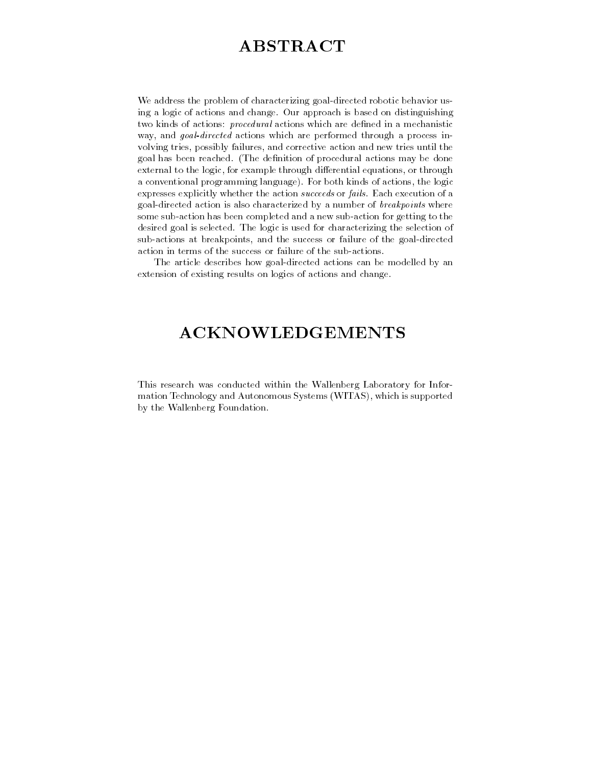# ABSTRACT

we address the problem of characterizing goal-actes the six contracted as ing a logic of actions and change. Our approach is based on distinguishing two kinds of actions: *procedural* actions which are defined in a mechanistic way, and *goal-directed* actions which are performed through a process involving tries possibly failures and corrective action and new tries until the goal has been reached. (The definition of procedural actions may be done external to the logic, for example through differential equations, or through a conventional programming language). For both kinds of actions, the logic expresses explicitly whether the action succeeds or fails Each execution of a directed action is also characterized by also characterized by also characterized by  $\mathbf{r}$ some sub-action has been completed and a new sub-action for getting to the desired goal is selected. The logic is used for characterizing the selection of sub-actions at breakpoints and the success or failure of the goal-directed

The article describes how goal-directed actions can be modelled by an extension of existing results on logics of actions and change

# ACKNOWLEDGEMENTS

This research was conducted within the Wallenberg Laboratory for Information Technology and Autonomous Systems (WITAS), which is supported by the Wallenberg Foundation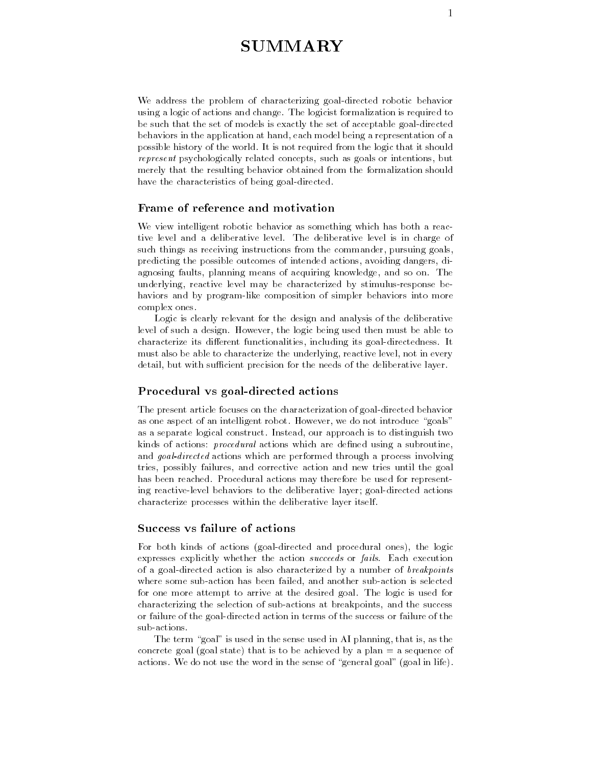# **SUMMARY**

we address the problem of characterizing goal-actested robotic behavior using a logic of actions and change The logicist formalization is required to be such that the set of models is exactly the set of acceptable goal-directed behaviors in the application at hand each model being a representation of a possible history of the world. It is not required from the logic that it should represent psychologically related concepts, such as goals or intentions, but merely that the resulting behavior obtained from the formalization should have the characteristics of being goal-directed

# Frame of reference and motivation

We view intelligent robotic behavior as something which has both a reactive level and a deliberative level The deliberative level is in charge of such things as receiving instructions from the commander, pursuing goals, predicting the possible outcomes of intended actions avoiding dangers diagnosing faults, planning means of acquiring knowledge, and so on. The underlying reaction reaction reaction response by stimulus-by stimulus-by stimulus-by stimulus-by stimulus-by s haviors and by program-like composition of simpler behaviors into more complex ones

Logic is clearly relevant for the design and analysis of the deliberative level of such a design. However, the logic being used then must be able to characterize its dierent functionalities including its goal-directedness It must also be able to characterize the underlying, reactive level, not in every detail but with su cient precision for the needs of the deliberative layer

# Procedural vs goal-directed actions

The present article focuses on the characterization of goal-directed behavior as one aspect of an intelligent robot. However, we do not introduce "goals" as a separate logical construct. Instead, our approach is to distinguish two kinds of actions: *procedural* actions which are defined using a subroutine, and goal-directed actions which are performed through a process involving tries, possibly failures, and corrective action and new tries until the goal has been reached. Procedural actions may therefore be used for representing reactive-level behaviors to the deliberative layer
goal-directed actions characterize processes within the deliberative layer itself

# Success vs failure of actions

 $\mathbf{f}$  both kinds of actions goal-directed and procedural ones and procedural ones in the logical ones in the logical ones. expresses explicitly whether the action succeeds or fails. Each execution of a goal-action action is also characterized by a characterized by a characterized by where some sub-distribution is selected and another sub-distribution is selected and another subfor one more attempt to arrive at the desired goal. The logic is used for characterizing the selection of sub-distributions at sub-distributions and the success or failure of the goal-directed action in terms of the success or failure of the

The term "goal" is used in the sense used in AI planning, that is, as the concrete goal (goal state) that is to be achieved by a plan  $=$  a sequence of actions. We do not use the word in the sense of "general goal" (goal in life).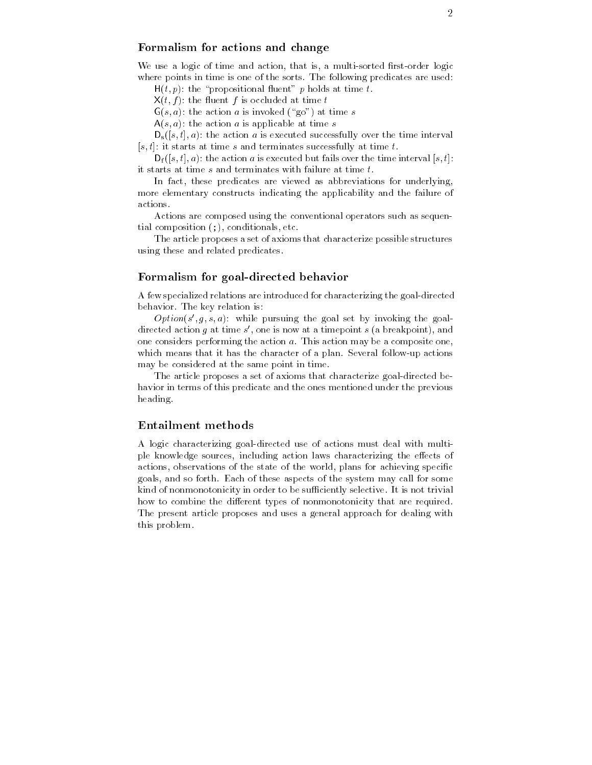# $\frac{2}{5}$  Formalism for actions and change

We use a logic of time and action that is a multi-sorted rst-order logic where points in time is one of the sorts. The following predicates are used:

 $H(t, p)$ : the "propositional fluent" p holds at time t.

 $X(t, f)$ : the fluent f is occluded at time t

 $G(s, a)$ : the action a is invoked ("go") at time s

 $A(s, a)$ : the action a is applicable at time s

 $D_s([s,t],a)$ : the action a is executed successfully over the time interval  $[s, t]$ : it starts at time s and terminates successfully at time t.

 $D_f([s,t],a)$ : the action a is executed but fails over the time interval  $[s,t]$ : it starts at time  $s$  and terminates with failure at time  $t$ .

In fact, these predicates are viewed as abbreviations for underlying, more elementary constructs indicating the applicability and the failure of actions.

Actions are composed using the conventional operators such as sequential composition  $($ ;  $)$ , conditionals, etc.

The article proposes a set of axioms that characterize possible structures using these and related predicates

# Formalism for goal-directed behavior

A few specialized relations are introduced for characterizing the goal-directed behavior. The key relation is:

 $Opion(s_-,q,s,a)$  while pursuing the goal set by invoking the goaldirected action  $q$  at time  $s$  , one is now at a timepoint  $s$  (a preakpoint), and one considers performing the action  $a$ . This action may be a composite one, which means that it has that it has the character of a plan Several follow-the character of a plan Several followmay be considered at the same point in time

The article proposes a set of axioms that characterize goal-directed behavior in terms of this predicate and the ones mentioned under the previous heading

#### Entailment methods

A logic characterizing goal-directed use of actions must deal with multiple knowledge sources, including action laws characterizing the effects of actions, observations of the state of the world, plans for achieving specific goals, and so forth. Each of these aspects of the system may call for some kind of non-monotonicity in order to be support to be supported to be supported to be supported to be supported to be supported to be supported to be supported to be supported to be supported to be a supported to be a sup how to combine the different types of nonmonotonicity that are required. The present article proposes and uses a general approach for dealing with this problem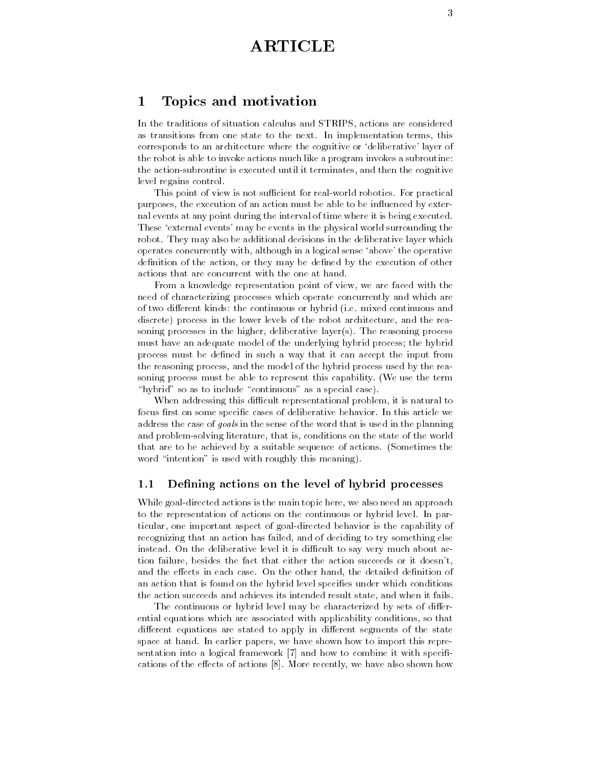# ARTICLE

#### 1 Topics and motivation

In the traditions of situation calculus and STRIPS, actions are considered as transitions from one state to the next. In implementation terms, this corresponds to an architecture where the cognitive or 'deliberative' layer of the robot is able to invoke actions much like a program invokes a subroutine the action-subroutine is executed until it terminates and then the cognitive level regains control

word point of view is not substantial for four world robotics for practical purposes, the execution of an action must be able to be influenced by external events at any point during the interval of time where it is being executed These 'external events' may be events in the physical world surrounding the robot. They may also be additional decisions in the deliberative layer which operates concurrently with, although in a logical sense 'above' the operative definition of the action, or they may be defined by the execution of other actions that are concurrent with the one at hand

From a knowledge representation point of view, we are faced with the need of characterizing processes which operate concurrently and which are of two different kinds: the continuous or hybrid (i.e. mixed continuous and discrete) process in the lower levels of the robot architecture, and the reasoning processes in the higher, deliberative layer(s). The reasoning process must have an adequate model of the underlying hybrid process
the hybrid process must be defined in such a way that it can accept the input from the reasoning process and the model of the hybrid process used by the reasoning process must be able to represent this capability. (We use the term "hybrid" so as to include "continuous" as a special case).

When addressing this di cult representational problem it is natural to focus first on some specific cases of deliberative behavior. In this article we address the case of goals in the sense of the word that is used in the planning and problem-solving literature that is conditions on the state of the world that are to be achieved by a suitable sequence of actions. (Sometimes the word "intention" is used with roughly this meaning).

# 1.1 Defining actions on the level of hybrid processes

while goal-main to main to main to main topic here  $\mathbf{r}_i$  and main top promine to the representation of actions on the continuous or hybrid level In particular one important aspect of goal-directed behavior is the capability of recognizing that an action has failed, and of deciding to try something else instead On the deliberative level it is di cult to say very much about action failure, besides the fact that either the action succeeds or it doesn't. and the effects in each case. On the other hand, the detailed definition of an action that is found on the hybrid level specifies under which conditions the action succeeds and achieves its intended result state, and when it fails.

The continuous or hybrid level may be characterized by sets of differential equations which are associated with applicability conditions so that different equations are stated to apply in different segments of the state space at hand. In earlier papers, we have shown how to import this representation into a logical framework  $[7]$  and how to combine it with specifications of the effects of actions [8]. More recently, we have also shown how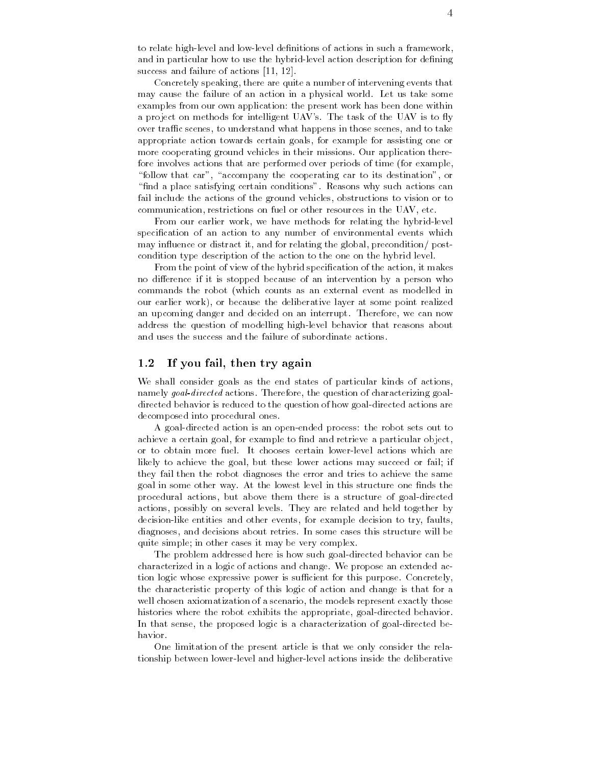to relate high-level and low-level denitions of actions in such a framework and in particular how to use the hybrid-level action description for dening success and failure of actions [11, 12].

Concretely speaking, there are quite a number of intervening events that may cause the failure of an action in a physical world. Let us take some examples from our own application: the present work has been done within a project on methods for intelligent UAV's. The task of the UAV is to fly over tra c scenes to understand what happens in those scenes and to take appropriate action towards certain goals, for example for assisting one or more cooperating ground vehicles in their missions Our application therefore involves actions that are performed over periods of time (for example, "follow that car", "accompany the cooperating car to its destination", or "find a place satisfying certain conditions". Reasons why such actions can fail include the actions of the ground vehicles obstructions to vision or to communication, restrictions on fuel or other resources in the UAV, etc.

From our earlier work we have methods for relating the hybrid-level specification of an action to any number of environmental events which may influence or distract it, and for relating the global, precondition/ $post$ condition type description of the action to the one on the hybrid level

From the point of view of the hybrid specification of the action, it makes no difference if it is stopped because of an intervention by a person who commands the robot which counts as an external event as modelled in our earlier work), or because the deliberative layer at some point realized an upcoming danger and decided on an interrupt. Therefore, we can now address the question of modelling high-level behavior that reasons about and uses the success and the failure of subordinate actions

#### $1.2$ If you fail, then try again

We shall consider goals as the end states of particular kinds of actions namely goal-directed actions. Therefore, the question of characterizing goaldirected behavior is reduced to the question of how goal-directed actions are decomposed into procedural ones

A goal-directed action is an open-ended process the robot sets out to achieve a certain goal, for example to find and retrieve a particular object, likely to achieve the goal, but these lower actions may succeed or fail; if they fail then the robot diagnoses the error and tries to achieve the same goal in some other way. At the lowest level in this structure one finds the procedural actions but above them there is a structure of goal-directed actions, possibly on several levels. They are related and held together by decision-like entities and other events for example decision to try faults diagnoses, and decisions about retries. In some cases this structure will be quite simple; in other cases it may be very complex.

The problem addressed here is how such goal-directed behavior can be characterized in a logic of actions and change We propose an extended action logic whose expressive power is su cient for this purpose Concretely the characteristic property of this logic of action and change is that for a well chosen axiomatization of a scenario, the models represent exactly those histories where the robot exhibits the appropriate goal-directed behavior In that sense the proposed logic is a characterization of goal-directed behavior.

One limitation of the present article is that we only consider the relationship between lower-level and higher-level actions inside the deliberative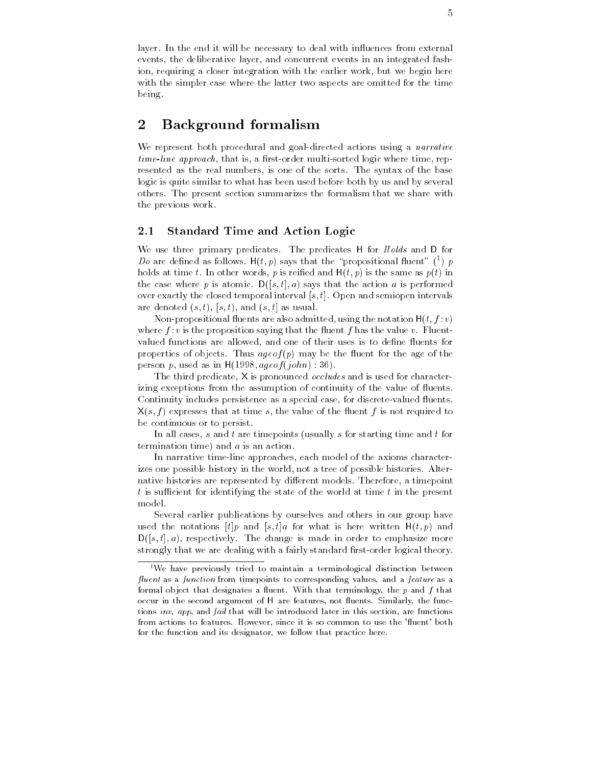layer. In the end it will be necessary to deal with influences from external events the deliberative layer and concurrent events in an integrated fashion, requiring a closer integration with the earlier work, but we begin here with the simpler case where the latter two aspects are omitted for the time being

#### $\overline{2}$ Background formalism

we represent a six procedural and goal-and colored actions using a narrative col times time approach that is a risk control time represented time report time represented as the real numbers, is one of the sorts. The syntax of the base logic is quite similar to what has been used before both by us and by several others The present section summarizes the formalism that we share with the previous work

#### Standard Time and Action Logic  $2.1$

We use three primary predicates. The predicates H for Holds and D for Do are defined as follows. H(t, p) says that the "propositional fluent" (  $\bar{p}$  ) p holds at time t. In other words, p is reified and  $H(t, p)$  is the same as  $p(t)$  in the case where p is atomic.  $D([s, t], a)$  says that the action a is performed over exactly the closed temporal interval  $[s, t]$ . Open and semiopen intervals are denoted  $(s, t)$ ,  $(s, t)$ , and  $(s, t]$  as usual.

Non-propositional uents are also admitted using the notation Ht f v where  $f: v$  is the proposition saying that the fluent f has the value v. Fluentvalued functions are allowed, and one of their uses is to define fluents for properties of objects. Thus  $ageof(p)$  may be the fluent for the age of the person p, used as in  $H(1998, age of (john) : 36)$ .

The third predicate, X is pronounced *occludes* and is used for characterizing exceptions from the assumption of continuity of the value of fluents. valued in the second persistence as a special case for discrete-  $\alpha$  as a special case  $\alpha$  $X(s, f)$  expresses that at time s, the value of the fluent f is not required to be continuous or to persist

In all cases,  $s$  and  $t$  are timepoints (usually  $s$  for starting time and  $t$  for termination time) and  $a$  is an action.

In narrative time-line approaches each model of the axioms characterizes one possible history in the world, not a tree of possible histories. Alternative histories are represented by different models. Therefore, a timepoint t is su cient for identifying the state of the world at time t in the present model

Several earlier publications by ourselves and others in our group have used the notations  $[t]p$  and  $[s, t]a$  for what is here written  $H(t, p)$  and  $D([s,t],a)$ , respectively. The change is made in order to emphasize more strongly that we are dealing with a fairly standard rst-order logical theory

<sup>&</sup>lt;sup>1</sup>We have previously tried to maintain a terminological distinction between uent as a function from timepoints to corresponding values- and a feature as a formal object that designates a nuclit. With that terminology, the  $p$  and  $f$  that occur in the second argument of H are features, not nuents, Simmany, the func- $100$   $180$   $100$   $100$   $100$   $100$   $100$   $100$   $100$   $100$   $100$   $100$   $100$   $100$   $100$   $100$   $100$   $100$   $100$   $100$   $100$   $100$   $100$   $100$   $100$   $100$   $100$   $100$   $100$   $100$   $100$   $100$   $100$   $100$   $100$   $100$   $100$ from actions to features However- since it is so common to use the uent bothfor the function and its designator- we follow that practice here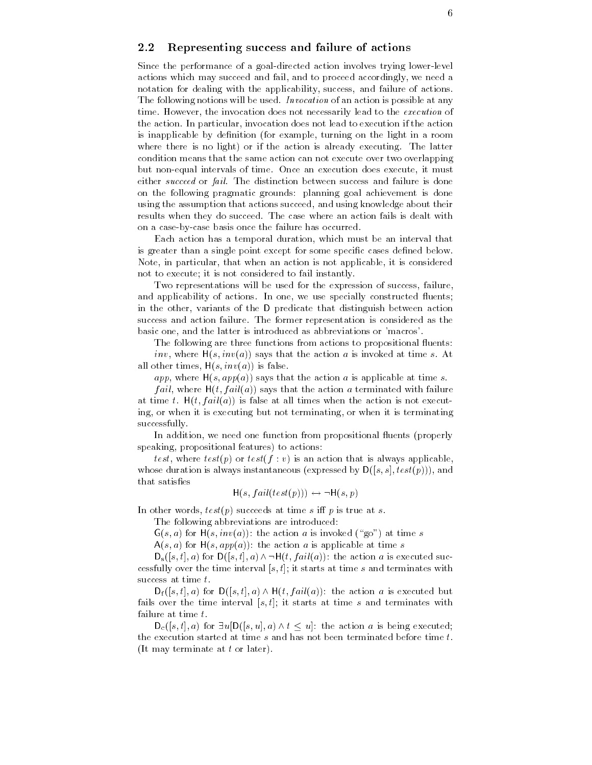#### 2.2 Representing success and failure of actions

Since the performance of a goal-directed action involves trying lower-level actions which may succeed and fail and to proceed accordingly we need a notation for dealing with the applicability, success, and failure of actions. The following notions will be used. Invocation of an action is possible at any time. However, the invocation does not necessarily lead to the *execution* of the action In particular invocation does not lead to execution if the action is inapplicable by definition (for example, turning on the light in a room where there is no light) or if the action is already executing. The latter condition means that the same action can not execute over two overlapping but non-equal intervals of time Once an execution does execute it must either succeed or fail. The distinction between success and failure is done on the following pragmatic grounds: planning goal achievement is done using the assumption that actions succeed, and using knowledge about their results when they do succeed. The case where an action fails is dealt with on a case-basis once the failure has occurred to the failure has occurred to the failure has occurred to the f

Each action has a temporal duration, which must be an interval that is greater than a single point except for some specific cases defined below. Note, in particular, that when an action is not applicable, it is considered not to execute; it is not considered to fail instantly.

Two representations will be used for the expression of success, failure, and applicability of actions. In one, we use specially constructed fluents; in the other, variants of the D predicate that distinguish between action success and action failure. The former representation is considered as the basic one, and the latter is introduced as abbreviations or 'macros'.

The following are three functions from actions to propositional fluents:

inv, where  $H(s, inv(a))$  says that the action a is invoked at time s. At all other times,  $H(s, inv(a))$  is false.

app, where  $H(s, app(a))$  says that the action a is applicable at time s.

*fail*, where  $H(t, fail(a))$  says that the action a terminated with failure at time t.  $H(t, fail(a))$  is false at all times when the action is not executing, or when it is executing but not terminating, or when it is terminating successfully

In addition, we need one function from propositional fluents (properly speaking, propositional features) to actions:

test, where  $test(p)$  or  $test(f : v)$  is an action that is always applicable. whose duration is always instantaneous (expressed by  $D([s, s], test(p)))$ , and that satisfies

$$
H(s, fail(test(p))) \leftrightarrow \neg H(s,p)
$$

In other words,  $test(p)$  succeeds at time s iff p is true at s.

The following abbreviations are introduced

 $G(s, a)$  for  $H(s, inv(a))$ : the action a is invoked ("go") at time s

 $A(s, a)$  for  $H(s, app(a))$ : the action a is applicable at time s

 $D_s([s,t],a)$  for  $D([s,t],a) \wedge \neg H(t, fail(a))$ : the action a is executed successfully over the time interval  $[s, t]$ ; it starts at time s and terminates with success at time  $t$ .

 $D_f([s,t],a)$  for  $D([s,t],a) \wedge H(t, fail(a))$ : the action a is executed but fails over the time interval  $[s, t]$ ; it starts at time s and terminates with failure at time  $t$ .

 $D_c([s, t], a)$  for  $\exists u[D([s, u], a) \wedge t \leq u]$ : the action a is being executed; the execution started at time  $s$  and has not been terminated before time  $t$ . (It may terminate at  $t$  or later).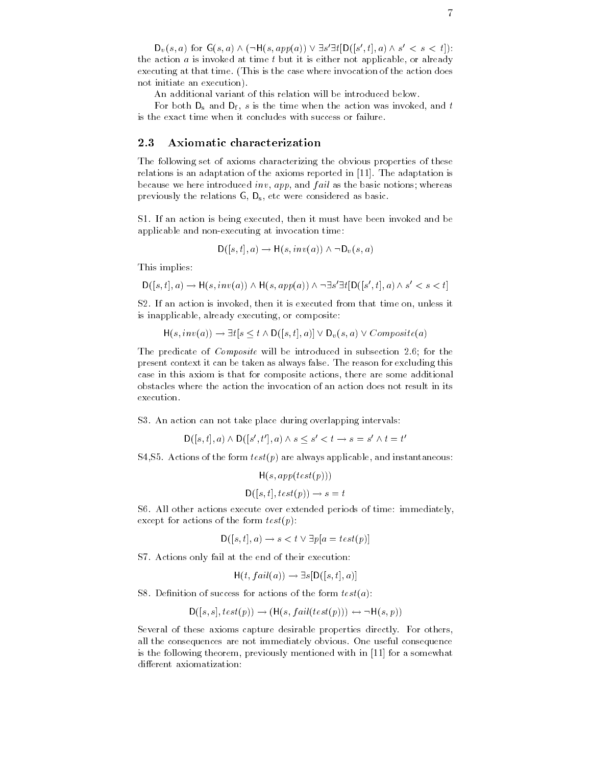$D_v(s, a)$  for  $G(s, a) \wedge (\neg H(s, app(a)) \vee \exists s' \exists t [D([s', t], a) \wedge s' < s < t])$ : the action  $a$  is invoked at time  $t$  but it is either not applicable, or already executing at that time. (This is the case where invocation of the action does not initiate an execution 

An additional variant of this relation will be introduced below

For both  $D_s$  and  $D_f$ , s is the time when the action was invoked, and t is the exact time when it concludes with success or failure

# 2.3 Axiomatic characterization

The following set of axioms characterizing the obvious properties of these relations is an adaptation of the axioms reported in  $[11]$ . The adaptation is because we here introduced inv, app, and  $fail$  as the basic notions; whereas previously the relations  $G$ ,  $D_s$ , etc were considered as basic.

S1. If an action is being executed, then it must have been invoked and be expression and non-construction time at invocation times.

$$
\mathsf{D}([s,t],a)\to \mathsf{H}(s,inv(a))\wedge\neg\mathsf{D}_v(s,a)
$$

This implies

$$
D([s, t], a) \to H(s, inv(a)) \land H(s, app(a)) \land \neg \exists s' \exists t [D([s', t], a) \land s' < s < t]
$$

S2. If an action is invoked, then it is executed from that time on, unless it is inapplicable, already executing, or composite:

$$
H(s, inv(a)) \rightarrow \exists t [s \le t \land D([s, t], a)] \lor D_v(s, a) \lor Composite(a)
$$

The predicate of  $Composite$  will be introduced in subsection 2.6; for the present context it can be taken as always false. The reason for excluding this case in this axiom is that for composite actions there are some additional obstacles where the action the invocation of an action does not result in its execution

S3. An action can not take place during overlapping intervals:

$$
D([s, t], a) \wedge D([s', t'], a) \wedge s \le s' < t \rightarrow s = s' \wedge t = t'
$$

S4, S5. Actions of the form  $test(p)$  are always applicable, and instantaneous:

$$
H(s, app(test(p)))
$$

$$
D([s, t], test(p)) \rightarrow s = t
$$

S6. All other actions execute over extended periods of time: immediately, except for actions of the form  $test(p)$ :

$$
D([s, t], a) \to s < t \lor \exists p[a = test(p)]
$$

S7. Actions only fail at the end of their execution:

$$
H(t, fail(a)) \rightarrow \exists s [D([s,t],a)]
$$

S8. Definition of success for actions of the form  $test(a)$ :

$$
D([s,s], test(p)) \rightarrow (H(s, fail(test(p))) \leftrightarrow \neg H(s,p))
$$

Several of these axioms capture desirable properties directly For others all the consequences are not immediately obvious One useful consequence is the following theorem, previously mentioned with in [11] for a somewhat different axiomatization: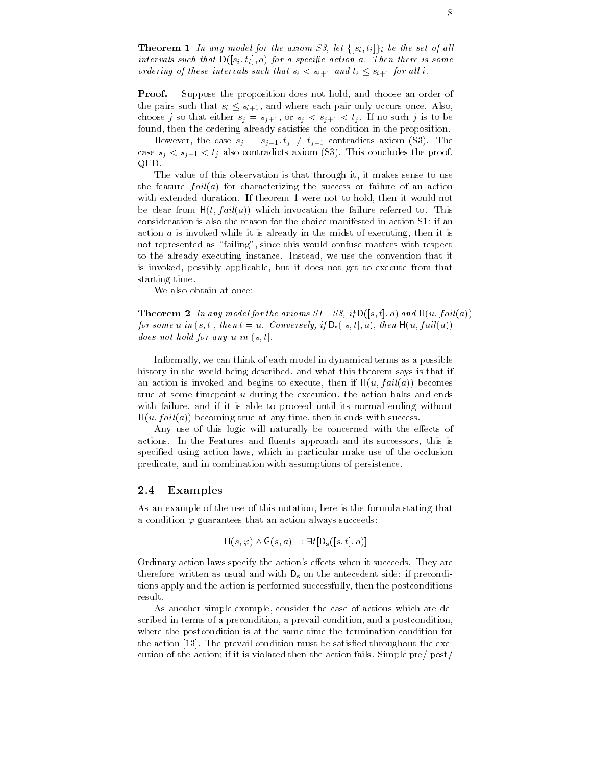**Theorem 1** In any model for the axiom S3, let  $\{[s_i, t_i]\}_i$  be the set of all intervals such that  $D([s_i, t_i], a)$  for a specific action a. Then there is some ordering of these intervals such that  $s_i < s_{i+1}$  and  $t_i \leq s_{i+1}$  for all i.

**Proof.** Suppose the proposition does not hold, and choose an order of the pairs such that  $s_i \leq s_{i+1}$ , and where each pair only occurs once. Also, choose j so that either since the single single single single single single single single single single single found, then the ordering already satisfies the condition in the proposition.

However, the case  $s_j = s_{j+1}, t_j \neq t_{j+1}$  contradicts axiom (S3). The case si si sj also contradicts axiom Solomon Solomon Solomon Solomon Solomon Solomon Solomon Solomon Solomon S QED

The value of this observation is that through it, it makes sense to use the feature  $fail(a)$  for characterizing the success or failure of an action with extended duration. If theorem 1 were not to hold, then it would not be clear from  $H(t, fail(a))$  which invocation the failure referred to. This consideration is also the reason for the choice manifested in action S1: if an action  $a$  is invoked while it is already in the midst of executing, then it is not represented as "failing", since this would confuse matters with respect to the already executing instance. Instead, we use the convention that it is invoked, possibly applicable, but it does not get to execute from that starting time

We also obtain at once:

The axiom is the axiom of the axiom state  $\mathcal{S}$  is the axiom state  $\mathcal{S}$  is a state  $\mathcal{S}$ for some u in  $(s, t]$ , then  $t = u$ . Conversely, if  $D_s([s, t], a)$ , then  $H(u, fail(a))$ does not hold for any  $u$  in  $(s, t]$ .

Informally, we can think of each model in dynamical terms as a possible history in the world being described, and what this theorem says is that if an action is invoked and begins to execute, then if  $H(u, fail(a))$  becomes true at some timepoint u during the execution the action halts and ends with failure, and if it is able to proceed until its normal ending without  $H(u, fail(a))$  becoming true at any time, then it ends with success.

Any use of this logic will naturally be concerned with the effects of actions. In the Features and fluents approach and its successors, this is specified using action laws, which in particular make use of the occlusion predicate, and in combination with assumptions of persistence.

#### 2.4 Examples

As an example of the use of this notation, here is the formula stating that a condition  $\varphi$  guarantees that an action always succeeds:

$$
H(s, \varphi) \land G(s, a) \rightarrow \exists t [D_s([s, t], a)]
$$

Ordinary action laws specify the action's effects when it succeeds. They are therefore written as usual and with  $D_s$  on the antecedent side: if preconditions apply and the action is performed successfully then the postconditions result.

As another simple example, consider the case of actions which are described in terms of a precondition, a prevail condition, and a postcondition, where the postcondition is at the same time the termination condition for the action  $[13]$ . The prevail condition must be satisfied throughout the execution of the action; if it is violated then the action fails. Simple pre/  $post/$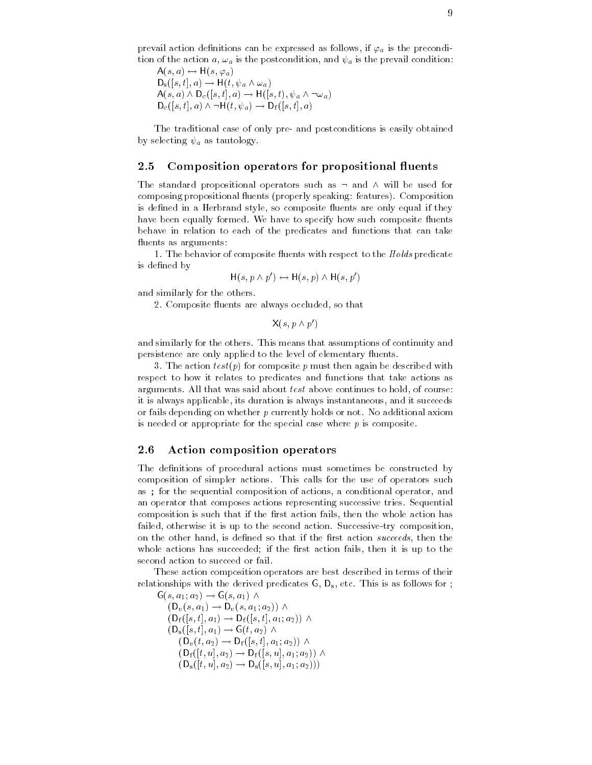prevail action definitions can be expressed as follows, if  $\varphi_a$  is the precondition of the action  $a, \omega_a$  is the postcondition, and  $\psi_a$  is the prevail condition:

 $A(s, a) \leftrightarrow \Pi(s, \varphi_a)$  $D_s([s,t],a) \rightarrow H(t,\psi_a \wedge \omega_a)$  $A(s, a) \wedge D_c([s, t], a) \rightarrow H([s, t), \psi_a \wedge \neg \omega_a)$  $D_c([s,t],a) \wedge \neg H(t,\psi_a) \rightarrow D_f([s,t],a)$ 

The traditional case of only pre- and postconditions is easily obtained by selecting  $\psi_a$  as tautology.

#### Composition operators for propositional fluents

The standard propositional operators such as  $\neg$  and  $\wedge$  will be used for composing propositional fluents (properly speaking: features). Composition is defined in a Herbrand style, so composite fluents are only equal if they have been equally formed. We have to specify how such composite fluents behave in relation to each of the predicates and functions that can take fluents as arguments:

1. The behavior of composite fluents with respect to the  $Holds$  predicate is defined by

$$
H(s, p \wedge p') \leftrightarrow H(s, p) \wedge H(s, p')
$$

and similarly for the others

2. Composite fluents are always occluded, so that

 $X(s, p \wedge p')$ 

and similarly for the others. This means that assumptions of continuity and persistence are only applied to the level of elementary fluents.

3. The action  $test(p)$  for composite p must then again be described with respect to how it relates to predicates and functions that take actions as arguments. All that was said about  $test$  above continues to hold, of course: it is always applicable its duration is always instantaneous and it succeeds or fails depending on whether  $p$  currently holds or not. No additional axiom is needed or appropriate for the special case where  $p$  is composite.

#### 2.6 Action composition operators

The definitions of procedural actions must sometimes be constructed by composition of simpler actions This calls for the use of operators such as; for the sequential composition of actions, a conditional operator, and an operator that composes actions representing successive tries Sequential composition is such that if the first action fails, then the whole action has failed otherwise it is up to the second action Successive-try composition on the other hand, is defined so that if the first action succeeds, then the whole actions has succeeded; if the first action fails, then it is up to the second action to succeed or fail

These action composition operators are best described in terms of their relationships with the derived predicates  $G, D_s$ , etc. This is as follows for ;

 $G(s, a_1; a_2) \rightarrow G(s, a_1) \wedge$  $(D_v(s, a_1) \rightarrow D_v(s, a_1; a_2)) \wedge$  $(D_f(|s,t|,a_1) \to D_f(|s,t|,a_1;a_2)) \wedge$  $(D_s(|s,t|,a_1) \rightarrow G(t,a_2) \wedge$  $(D_v(t, a_2) \rightarrow D_f(|s,t|, a_1; a_2)) \wedge$  $(D_f(|t, u|, a_2) \to D_f(|s, u|, a_1; a_2))$   $\wedge$  $(D_s(|l, u|, a_2) \rightarrow D_s(|s, u|, a_1; a_2)))$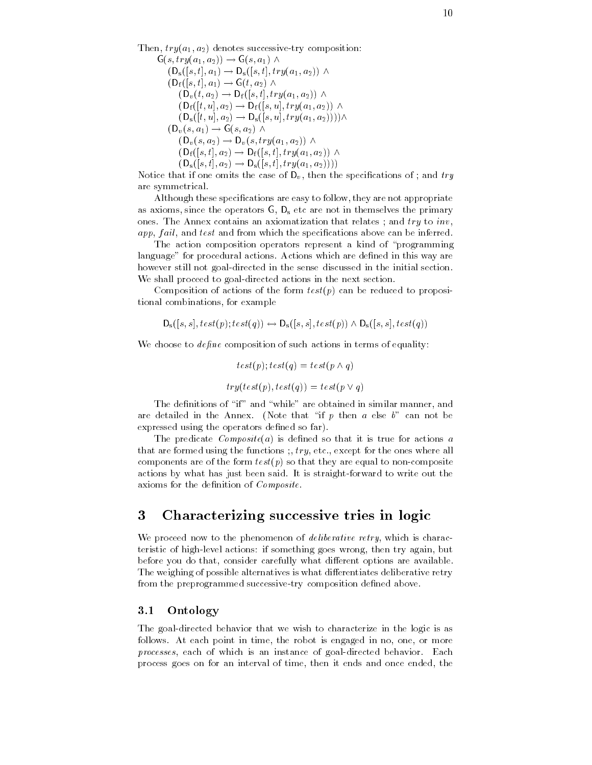$\sim$  . Then trying trying the successive-transformation  $\sim$  . The successive-transformation of  $\sim$ 

 $G(s, try(a_1, a_2)) \rightarrow G(s, a_1) \wedge$  $(D_s(|s,t|,a_1) \rightarrow D_s(|s,t|,try(a_1,a_2))$   $\wedge$  $(D_f(|s,t|,a_1) \rightarrow G(t,a_2) \wedge$  $(D_v(t, a_2) \rightarrow D_f(|s,t|, try(a_1, a_2))$   $\wedge$  $(D_f(|t, u|, a_2) \to D_f(|s, u|, try(a_1, a_2))$   $\wedge$  $(D_s([t, u], a_2) \to D_s([s, u], try(a_1, a_2)))) \wedge$  $(D_v(s, a_1) \rightarrow G(s, a_2) \wedge$  $(D_v(s, a_2) \rightarrow D_v(s, try(a_1, a_2))$   $\wedge$  $(D_f(|s,t|,a_2) \to D_f(|s,t|,try(a_1,a_2))$   $\wedge$  $\{U_{\rm s}([s,t],a_2)\to U_{\rm s}([s,t],try(a_1,a_2))\}\$ 

Notice that if one omits the case of  $D_v$ , then the specifications of ; and try are symmetrical

Although these specifications are easy to follow, they are not appropriate as axioms, since the operators  $G$ ,  $D_s$  etc are not in themselves the primary ones. The Annex contains an axiomatization that relates ; and  $try$  to  $inv$ . app, fail, and test and from which the specifications above can be inferred.

The action composition operators represent a kind of "programming language" for procedural actions. Actions which are defined in this way are however still not goal-directed in the sense discussed in the initial section We shall proceed to goal-directed actions in the next section

Composition of actions of the form  $test(p)$  can be reduced to propositional combinations, for example

$$
\mathsf{D}_{\mathbf{s}}([s,s], \mathit{test}(p); \mathit{test}(q)) \leftrightarrow \mathsf{D}_{\mathbf{s}}([s,s], \mathit{test}(p)) \land \mathsf{D}_{\mathbf{s}}([s,s], \mathit{test}(q))
$$

We choose to  $define$  composition of such actions in terms of equality:

$$
test(p); test(q) = test(p \land q)
$$

$$
try(test(p), test(q)) = test(p \lor q)
$$

The definitions of "if" and "while" are obtained in similar manner, and are detailed in the Annex. (Note that "if  $p$  then  $a$  else  $b$ " can not be expressed using the operators defined so far).

The predicate  $Composite(a)$  is defined so that it is true for actions a that are formed using the functions  $, try, etc., except for the ones where all$ components are of the form test posite so that they are equal to non-testposite so that they are equal to nonactions by what has just been said it is straightful it is straightful it is straightful it is straightful it axioms for the definition of  $Composite$ .

#### 3 Characterizing successive tries in logic

We proceed now to the phenomenon of *deliberative retry*, which is characteristic of high-level actions if something goes wrong then try again but before you do that, consider carefully what different options are available. The weighing of possible alternatives is what differentiates deliberative retry from the preprogrammed successive-try composition dened above

# 3.1 Ontology

The goal-directed behavior that we wish to characterize in the logic is as follows. At each point in time, the robot is engaged in no, one, or more processes each of which is an instance of goal-directed behavior Each process goes on for an interval of time, then it ends and once ended, the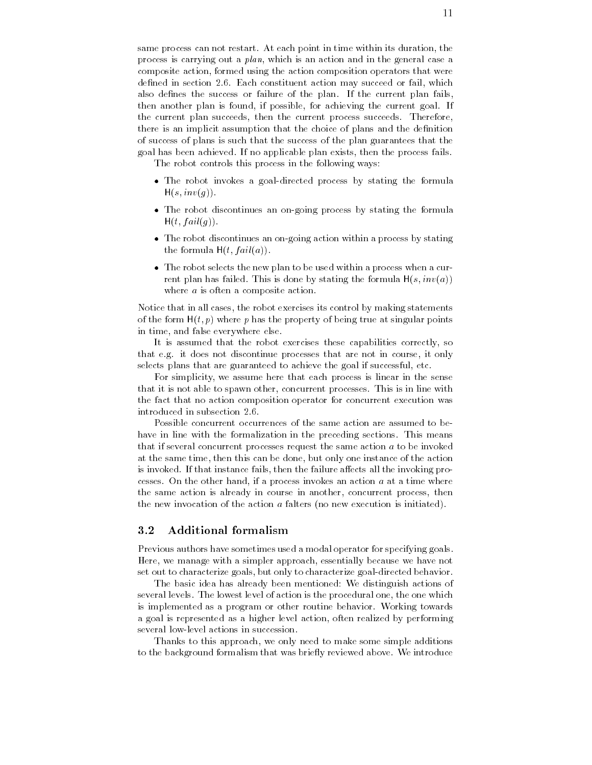same process can not restart. At each point in time within its duration, the process is carrying out a  $plan$ , which is an action and in the general case a composite action formed using the action composition operators that were defined in section 2.6. Each constituent action may succeed or fail, which also defines the success or failure of the plan. If the current plan fails, then another plan is found, if possible, for achieving the current goal. If the current plan succeeds, then the current process succeeds. Therefore, there is an implicit assumption that the choice of plans and the denition of success of plans is such that the success of the plan guarantees that the goal has been achieved If no applicable plan exists then the process fails

The robot controls this process in the following ways

- $\bullet$  The robot invokes a goal-directed process by stating the formula  $H(s, inv(q)).$
- $\bullet$  The robot discontinues an on-going process by stating the formula  $H(t, fail(g))$ .
- $\bullet$  -the robot discontinues an on-going action within a process by stating the formula  $H(t, fail(a))$ .
- $\bullet$  -the robot selects the new plan to be used within a process when a current plan has failed. This is done by stating the formula  $H(s, inv(a))$ where *a* is often a composite action.

Notice that in all cases, the robot exercises its control by making statements of the form  $H(t, p)$  where p has the property of being true at singular points in time, and false everywhere else.

It is assumed that the robot exercises these capabilities correctly, so that e.g. it does not discontinue processes that are not in course, it only selects plans that are guaranteed to achieve the goal if successful, etc.

For simplicity, we assume here that each process is linear in the sense that it is not able to spawn other, concurrent processes. This is in line with the fact that no action composition operator for concurrent execution was introduced in subsection 2.6.

Possible concurrent occurrences of the same action are assumed to behave in line with the formalization in the preceding sections. This means that if several concurrent processes request the same action a to be invoked at the same time, then this can be done, but only one instance of the action is invoked. If that instance fails, then the failure affects all the invoking processes. On the other hand, if a process invokes an action  $a$  at a time where the same action is already in course in another, concurrent process, then the new invocation of the action  $\alpha$  falters (no new execution is initiated).

#### $3.2$ Additional formalism

Previous authors have sometimes used a modal operator for specifying goals Here, we manage with a simpler approach, essentially because we have not set out to characterize goals but only to characterize goal-directed behavior

The basic idea has already been mentioned: We distinguish actions of several levels. The lowest level of action is the procedural one, the one which is implemented as a program or other routine behavior. Working towards a goal is represented as a higher level action often realized by performing

Thanks to this approach, we only need to make some simple additions to the background formalism that was briefly reviewed above. We introduce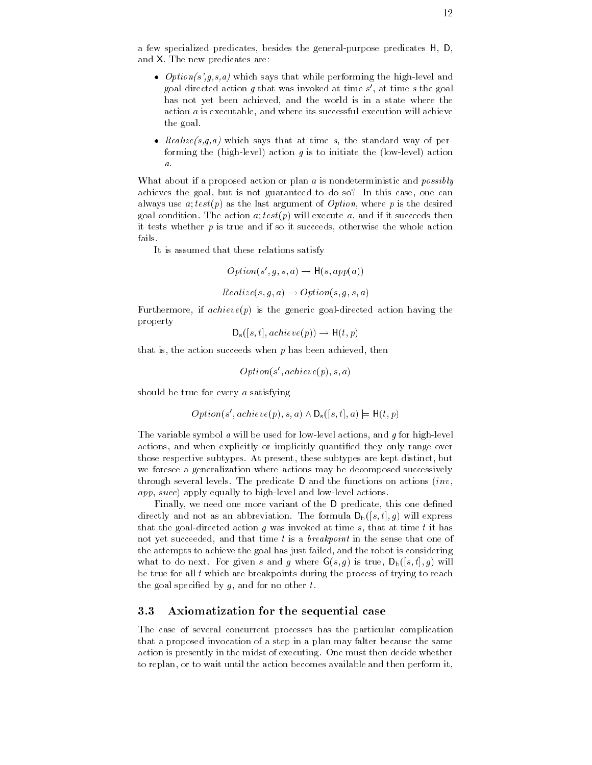a few specialized predicates besides the general-purpose predicates H  $\pm$ and X. The new predicates are:

- $\bullet$  -*Option(s* ,*q,s,a)* which says that while performing the high-level and goal-directed action g that was invoked at time s at time s the goal has not yet been achieved, and the world is in a state where the action  $a$  is executable, and where its successful execution will achieve the goal
- $\bullet$  -*Kealize(s,q,a)* which says that at time *s*, the standard way of performing the high-level action g is to initiate the low-level action a

What about if a proposed action or plan a is nondeterministic and *possibly* achieves the goal, but is not guaranteed to do so? In this case, one can always use  $a; test(p)$  as the last argument of *Option*, where p is the desired goal condition. The action  $a; test(p)$  will execute a, and if it succeeds then it tests whether  $p$  is true and if so it succeeds, otherwise the whole action fails

It is assumed that these relations satisfy

$$
Option(s', g, s, a) \rightarrow H(s, app(a))
$$

$$
Realize(s, g, a) \rightarrow Option(s, g, s, a)
$$

 $\mathbf{r}$  is the generic goal-directed action having the generic goal-directed action having the generic goal-directed action  $\mathbf{r}$ property

$$
\mathsf{D}_{\mathbf{s}}([s,t],\mathit{achieve}(p)) \rightarrow \mathsf{H}(t,p)
$$

that is, the action succeeds when  $p$  has been achieved, then

$$
Option(s',achieve(p),s,a)\\
$$

should be true for every a satisfying

$$
Option(s',achieve(p), s, a) \wedge D_s([s, t], a) \models H(t, p)
$$

The variable symbol a will be used for low-level actions and g for high-level actions, and when explicitly or implicitly quantified they only range over those respective subtypes. At present, these subtypes are kept distinct, but we foresee a generalization where actions may be decomposed successively through several levels. The predicate D and the functions on actions  $(inv,$ app succ apply equally to high-level and low-level actions

Finally, we need one more variant of the D predicate, this one defined directly and not as an abbreviation. The formula  $D_b([s,t], g)$  will express that the goal-directed action g was invoked at time s that at time s that at time s that at time s that at time  $\alpha$ not yet succeeded, and that time  $t$  is a *breakpoint* in the sense that one of the attempts to achieve the goal has just failed and the robot is considering what to do next. For given s and g where  $G(s, g)$  is true,  $D_b([s, t], g)$  will be true for all  $t$  which are breakpoints during the process of trying to reach the goal specified by  $g$ , and for no other  $t$ .

#### $3.3$ Axiomatization for the sequential case

The case of several concurrent processes has the particular complication that a proposed invocation of a step in a plan may falter because the same action is presently in the midst of executing. One must then decide whether to replan, or to wait until the action becomes available and then perform it,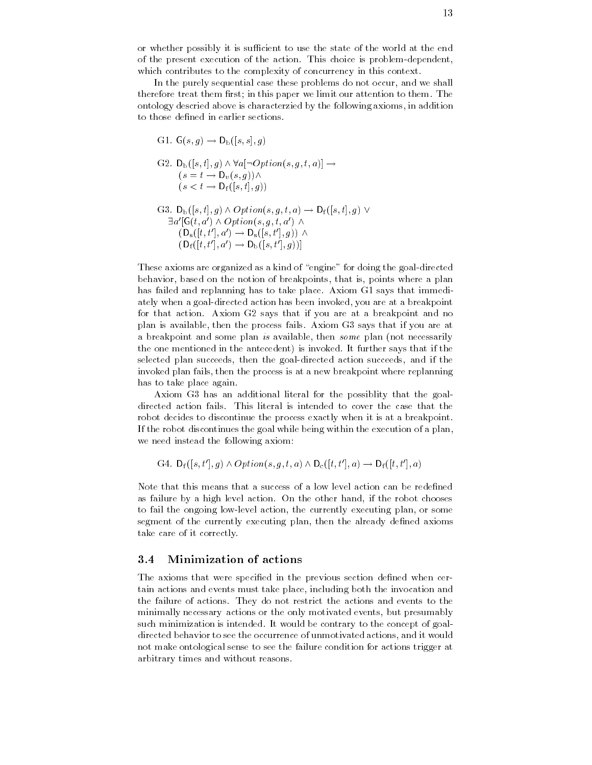or whether possibly it is supported to use the state of the world at the state of of the present execution of the action This choice is problem-dependent which contributes to the complexity of concurrency in this context.

In the purely sequential case these problems do not occur, and we shall therefore treat them first; in this paper we limit our attention to them. The ontology descried above is characterzied by the following axioms in addition to those defined in earlier sections.

G1. 
$$
G(s, g) \rightarrow D_{b}([s, s], g)
$$
  
\nG2. 
$$
D_{b}([s, t], g) \land \forall a [\neg Option(s, g, t, a)] \rightarrow
$$

$$
(s = t \rightarrow D_{v}(s, g)) \land
$$

$$
(s < t \rightarrow D_{f}([s, t], g))
$$
  
\nG3. 
$$
D_{b}([s, t], g) \land Option(s, g, t, a) \rightarrow D_{f}([s, t], g) \lor
$$

$$
\exists a'[G(t, a') \land Option(s, g, t, a') \land
$$

$$
(D_{s}([t, t'], a') \rightarrow D_{s}([s, t'], g)) \land
$$

$$
(D_{f}([t, t'], a') \rightarrow D_{b}([s, t'], g))]
$$

These axioms are organized as a kind of engine for doing the goal-directed behavior, based on the notion of breakpoints, that is, points where a plan has failed and replanning has to take place. Axiom G1 says that immediately when a goal-directed action has been invoked you are at a breakpoint for that action. Axiom G2 says that if you are at a breakpoint and no plan is available, then the process fails. Axiom G3 says that if you are at a breakpoint and some plan is available, then some plan (not necessarily the one mentioned in the antecedent) is invoked. It further says that if the selected plant succeeds the succeeding action succeeds and it the succeeding and if the succeeding and it the invoked plan fails, then the process is at a new breakpoint where replanning has to take place again

Axiom G3 has an additional literal for the possiblity that the goaldirected action fails. This literal is intended to cover the case that the robot decides to discontinue the process exactly when it is at a breakpoint. If the robot discontinues the goal while being within the execution of a plan we need instead the following axiom

G4.  $D_f([s,t'],g) \wedge Option(s,g,t,a) \wedge D_c([t,t'],a) \rightarrow D_f([t,t'],a)$ 

Note that this means that a success of a low level action can be redened as failure by a high level action. On the other hand, if the robot chooses to fail the ongoing low-level action the currently executing plan or some segment of the currently executing plan, then the already defined axioms take care of it correctly

#### Minimization of actions 3.4

The axioms that were specified in the previous section defined when certain actions and events must take place, including both the invocation and the failure of actions They do not restrict the actions and events to the minimally necessary actions or the only motivated events, but presumably such minimization is intended It would be contrary to the concept of goaldirected behavior to see the occurrence of unmotivated actions and it would not make ontological sense to see the failure condition for actions trigger at arbitrary times and without reasons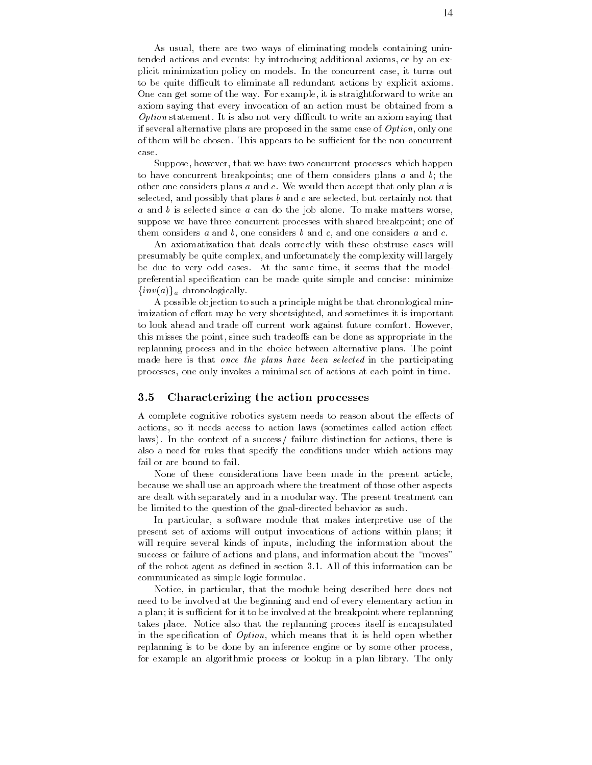As usual, there are two ways of eliminating models containing unintended actions and events: by introducing additional axioms, or by an explicit minimization policy on models In the concurrent case it turns out to be quite different to eliminate and problems by explicitly applied axioms and One can get some of the way For example it is straightforward to write an axiom saying that every invocation of an action must be obtained from a Option statement It is also not very di cult to write an axiom saying that if several alternative plans are proposed in the same case of  $Option$ , only one of them will be chosen This appears to be su cient for the non-concurrent case

Suppose, however, that we have two concurrent processes which happen to have concurrent breakpoints; one of them considers plans  $a$  and  $b$ ; the other one considers plans  $a$  and  $c$ . We would then accept that only plan  $a$  is selected, and possibly that plans  $b$  and  $c$  are selected, but certainly not that  $a$  and  $b$  is selected since  $a$  can do the job alone. To make matters worse, suppose we have three concurrent processes with shared breakpoint; one of them considers  $a$  and  $b$ , one considers  $b$  and  $c$ , and one considers  $a$  and  $c$ .

An axiomatization that deals correctly with these obstruse cases will presumably be quite complex and unfortunately the complexity will largely be due to very odd cases At the same time it seems that the modelpreferential specification can be made quite simple and concise: minimize  $\{inv(a)\}\$ <sub>a</sub> chronologically.

A possible objection to such a principle might be that chronological minimization of effort may be very shortsighted, and sometimes it is important to look ahead and trade off current work against future comfort. However, this misses the point, since such tradeoffs can be done as appropriate in the replanning process and in the choice between alternative plans The point made here is that once the plans have been selected in the participating processes, one only invokes a minimal set of actions at each point in time.

## Characterizing the action processes

A complete cognitive robotics system needs to reason about the effects of actions, so it needs access to action laws (sometimes called action effect laws). In the context of a success/ failure distinction for actions, there is also a need for rules that specify the conditions under which actions may fail or are bound to fail

None of these considerations have been made in the present article because we shall use an approach where the treatment of those other aspects are dealt with separately and in a modular way The present treatment can be limited to the question of the goal-directed behavior as such

In particular, a software module that makes interpretive use of the present set of axioms will output invocations of actions within plans
it will require several kinds of inputs, including the information about the success or failure of actions and plans, and information about the "moves" of the robot agent as defined in section 3.1. All of this information can be communicated as simple logic formulae

Notice, in particular, that the module being described here does not need to be involved at the beginning and end of every elementary action in a plant for it is supported at the breakpoint for it is supported at the breakpoint where replanning where rep takes place Notice also that the replanning process itself is encapsulated in the specification of  $Option$ , which means that it is held open whether replanning is to be done by an inference engine or by some other process for example an algorithmic process or lookup in a plan library. The only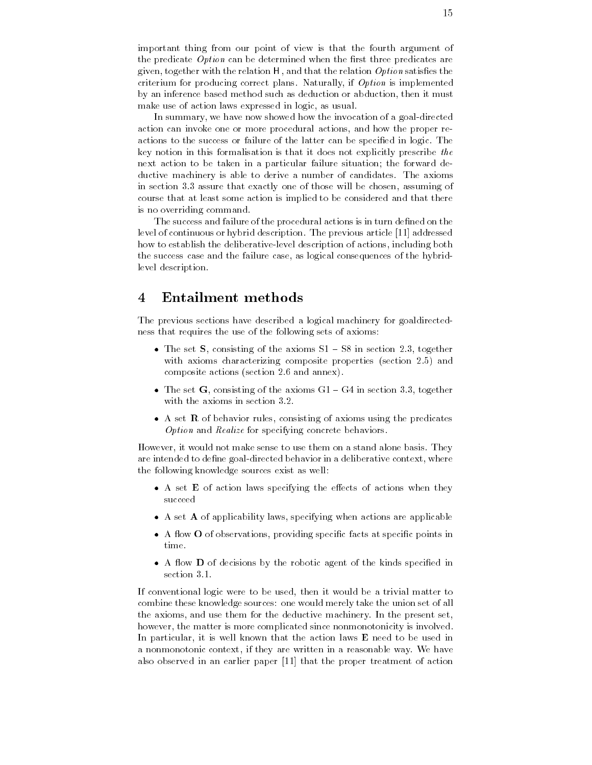important thing from our point of view is that the fourth argument of the predicate  $Option can be determined when the first three predicates are$ given, together with the relation  $H$ , and that the relation *Option* satisfies the criterium for producing correct plans. Naturally, if  $Option$  is implemented by an inference based method such as deduction or abduction then it must make use of action laws expressed in logic, as usual.

In summary we have now showed how the invocation of a goal-directed action can invoke one or more procedural actions and how the proper reactions to the success or failure of the latter can be specified in logic. The key notion in this formalisation is that it does not explicitly prescribe the next action to be taken in a particular failure situation; the forward deductive machinery is able to derive a number of candidates. The axioms in section 3.3 assure that exactly one of those will be chosen, assuming of course that at least some action is implied to be considered and that there is no overriding command

The success and failure of the procedural actions is in turn defined on the level of continuous or hybrid description. The previous article [11] addressed how to establish the deliberative-level description of actions including both the success case and the failure case as logical consequences of the hybridlevel description

#### $\overline{4}$ Entailment methods

The previous sections have described a logical machinery for goaldirectedness that requires the use of the following sets of axioms

- $\bullet$  The set S, consisting of the axioms S1 S8 in section 2.3, together with axioms characterizing composite properties (section  $2.5$ ) and composite actions (section  $2.6$  and annex).
- $\bullet$  The set G, consisting of the axioms GT = G4 in section 3.3, together  $\bullet$ with the axioms in section 3.2.
- $\bullet$  A set  $\kappa$  of behavior rules, consisting of axioms using the predicates Option and Realize for specifying concrete behaviors

However it would not make sense to use them on a stand alone basis They are internet to directed goal-attribution a directed behavior in a directed behavior in a directed where the the following knowledge sources exist as well

- $\bullet$  A set  $\bf E$  of action laws specifying the effects of actions when they succeed
- $\bullet$  A set  ${\bf A}$  of applicability laws, specifying when actions are applicable
- $\bullet$  A flow  $\bullet$  of observations, providing specific facts at specific points in time
- $\bullet$  A flow  $\bf D$  of decisions by the robotic agent of the kinds specified in section 3.1.

If conventional logic were to be used, then it would be a trivial matter to combine these knowledge sources: one would merely take the union set of all the axioms, and use them for the deductive machinery. In the present set, however, the matter is more complicated since nonmonotonicity is involved. In particular, it is well known that the action laws  $E$  need to be used in a nonmonotonic context, if they are written in a reasonable way. We have also observed in an earlier paper [11] that the proper treatment of action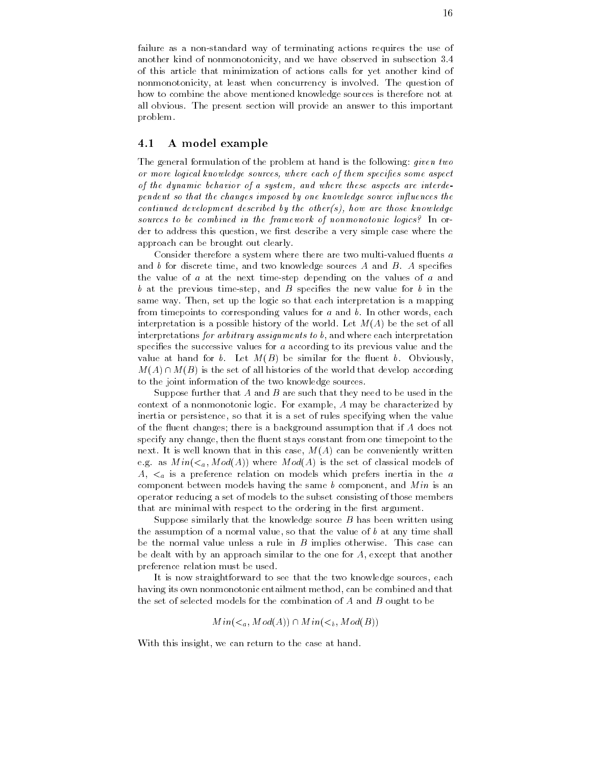failure as a non-standard way of terminating actions requires the use of another kind of nonmonotonicity, and we have observed in subsection 3.4 of this article that minimization of actions calls for yet another kind of nonmonotonicity, at least when concurrency is involved. The question of how to combine the above mentioned knowledge sources is therefore not at all obvious. The present section will provide an answer to this important problem

## A model example

The general formulation of the problem at hand is the following: *given two* or more logical knowledge sources, where each of them specifies some aspect of the dynamic behavior of a system, and where these aspects are interdependent so that the changes imposed by one knowledge source influences the continued development described by the other(s), how are those knowledge sources to be combined in the framework of nonmonotonic logics? In order to address this question, we first describe a very simple case where the approach can be brought out clearly

Consider therefore a system where there are two multi-valued uents a and  $b$  for discrete time, and two knowledge sources  $A$  and  $B$ .  $A$  specifies the value of a at the next time-step depending on the values of a and b at the previous time-step and B species the new value for b in the same way. Then, set up the logic so that each interpretation is a mapping from timepoints to corresponding values for  $a$  and  $b$ . In other words, each interpretation is a possible history of the world. Let  $M(A)$  be the set of all interpretations for arbitrary assignments to  $b$ , and where each interpretation specifies the successive values for  $a$  according to its previous value and the value at hand for b. Let  $M(B)$  be similar for the fluent b. Obviously,  $M(A) \cap M(B)$  is the set of all histories of the world that develop according to the joint information of the two knowledge sources

Suppose further that A and B are such that they need to be used in the context of a nonmonotonic logic. For example,  $A$  may be characterized by inertia or persistence, so that it is a set of rules specifying when the value of the fluent changes; there is a background assumption that if  $A$  does not specify any change, then the fluent stays constant from one timepoint to the next. It is well known that in this case,  $M(A)$  can be conveniently written e.g. as  $Min(<sub>a</sub>, Mod(A))$  where  $Mod(A)$  is the set of classical models of  $A_{n}$ ,  $\lt_{a}$  is a preference relation on models which prefers inertia in the a component between models having the same  $b$  component, and  $Min$  is an operator reducing a set of models to the subset consisting of those members that are minimal with respect to the ordering in the first argument.

Suppose similarly that the knowledge source  $B$  has been written using the assumption of a normal value, so that the value of  $b$  at any time shall be the normal value unless a rule in  $B$  implies otherwise. This case can be dealt with by an approach similar to the one for  $A$ , except that another preference relation must be used

It is now straightforward to see that the two knowledge sources, each having its own nonmonotonic entailment method, can be combined and that the set of selected models for the combination of  $A$  and  $B$  ought to be

$$
Min(a, Mod(A)) \cap Min(b, Mod(B))
$$

With this insight, we can return to the case at hand.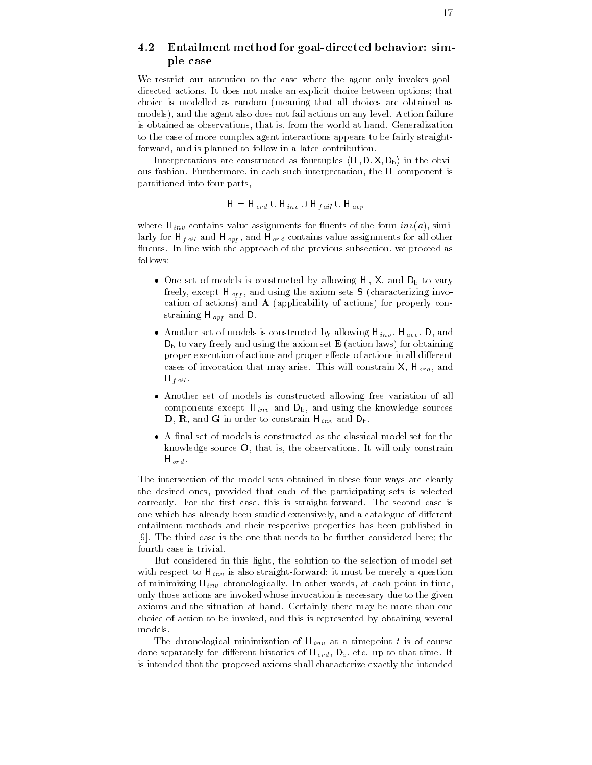# Entailment method for goal-directed behavior
simple case

We restrict our attention to the case where the agent only invokes goaldirected actions. It does not make an explicit choice between options; that choice is modelled as random (meaning that all choices are obtained as models), and the agent also does not fail actions on any level. Action failure is obtained as observations, that is, from the world at hand. Generalization to the case of more complex agent interactions appears to be fairly straightforward, and is planned to follow in a later contribution.

Interpretations are constructed as fourtuples  $(H, D, X, D_b)$  in the obvious fashion. Furthermore, in each such interpretation, the H component is partitioned into four parts

$$
H = H_{ord} \cup H_{inv} \cup H_{fail} \cup H_{app}
$$

where  $\Box$  invariants for uncertainty for uncertainty for uncertainty  $\Box$  since  $\Box$  since  $\Box$  since  $\Box$  since  $\Box$ larly for H  $_{fail}$  and H  $_{app}$ , and H  $_{ord}$  contains value assignments for all other fluents. In line with the approach of the previous subsection, we proceed as follows

- $\bullet$  One set of models is constructed by allowing H , X, and  $D_{\rm b}$  to vary freely the electron apply the axiom  $\boldsymbol{\Delta}$  characterizing involved in a characterizing invocation of actions) and  $A$  (applicability of actions) for properly constration in the property of the property of the property of the property of the property of the property of the property of the property of the property of the property of the property of the property of the property of th
- $\bullet$  Another set of models is constructed by allowing H  $_{inv}$ , H  $_{app}$  , D  $_{\rm c}$  and  $D_b$  to vary freely and using the axiom set  $E$  (action laws) for obtaining proper execution of actions and proper effects of actions in all different cases of involvements that may arrive This will constrain  $\mathcal{C}^{\mathcal{A}}$  and  $\mathcal{C}^{\mathcal{A}}$  $\cdots$  ,  $\cdots$
- Another set of models is constructed allowing free variation of all components except  $\cdots$   $\cdots$  inv and  $\cdots$   $\cdots$  and  $\cdots$  and  $\cdots$  and  $\cdots$  $\mathcal{L}$  and  $\mathcal{L}$  and  $\mathcal{L}$  is one constraint  $\mathcal{L}$  involved by and  $\mathcal{L}$  in  $\mathcal{L}$
- $\bullet$  A final set of models is constructed as the classical model set for the  $\phantom{1}$ knowledge source  $O$ , that is, the observations. It will only constrain  $\cdots$

The intersection of the model sets obtained in these four ways are clearly the desired ones, provided that each of the participating sets is selected correctly For the rst case this is straight-forward The second case is one which has already been studied extensively, and a catalogue of different entailment methods and their respective properties has been published in [9]. The third case is the one that needs to be further considered here; the fourth case is trivial

But considered in this light, the solution to the selection of model set for the  $\Omega$  is also straight-distribution involvement in the merely and  $\Omega$ of minimizing H inv chronologically invariant invariant in time  $\Gamma$ only those actions are invoked whose invocation is necessary due to the given axioms and the situation at hand Certainly there may be more than one choice of action to be invoked, and this is represented by obtaining several models

 $\mathcal{T}$  . The chronological minimization of the  $\mathcal{T}$  is of  $\mathcal{T}$  is of  $\mathcal{T}$  is of  $\mathcal{T}$  is of  $\mathcal{T}$ done separately for different finances of H  $\eta_1$  ord Db etc up to that time It is intended that the proposed axioms shall characterize exactly the intended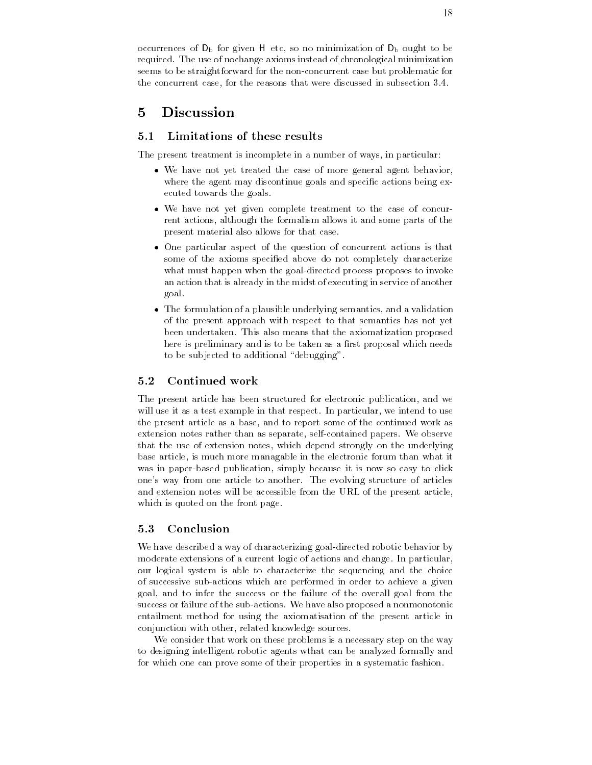occurrences of  $D_b$  for given H etc, so no minimization of  $D_b$  ought to be required. The use of nochange axioms instead of chronological minimization seems to be straightforward for the non-distribution for problematic for the concurrent case, for the reasons that were discussed in subsection  $3.4$ .

#### $\overline{5}$ Discussion

#### $5.1$ Limitations of these results

The present treatment is incomplete in a number of ways, in particular:

- $\bullet$  We have not yet treated the case of more general agent behavior,  $\hspace{0.1mm}$ where the agent may discontinue goals and specific actions being executed towards the goals
- $\bullet$  We have not yet given complete treatment to the case of concurrent actions, although the formalism allows it and some parts of the present material also allows for that case
- $\bullet$  One particular aspect of the question of concurrent actions is that some of the axioms specified above do not completely characterize what must happen when the goal-directed process proposes to invoke an action that is already in the midst of executing in service of another goal
- $\bullet$  -fine formulation of a plausible underlying semantics, and a validation  $\bullet$ of the present approach with respect to that semantics has not yet been undertaken. This also means that the axiomatization proposed here is preliminary and is to be taken as a first proposal which needs to be subjected to additional "debugging".

#### Continued work

The present article has been structured for electronic publication, and we will use it as a test example in that respect. In particular, we intend to use the present article as a base, and to report some of the continued work as extension notes rather than as separate self-contained papers We observe that the use of extension notes, which depend strongly on the underlying base article, is much more managable in the electronic forum than what it was in puper-click publication simply because it is no easy to click the complete it is not it is not it is no one's way from one article to another. The evolving structure of articles and extension notes will be accessible from the URL of the present article which is quoted on the front page.

#### $5.3$ Conclusion

we have described a way of characterizing goal-metericial-cted robotic by the state of  $\mathcal{C}$ moderate extensions of a current logic of actions and change. In particular, our logical system is able to characterize the sequencing and the choice of successive sub-actions which are performed in order to achieve a given goal, and to infer the success or the failure of the overall goal from the success or failure of the sub-actions We have also proposed a nonmonotonic entailment method for using the axiomatisation of the present article in conjunction with other, related knowledge sources.

We consider that work on these problems is a necessary step on the way to designing intelligent robotic agents wthat can be analyzed formally and for which one can prove some of their properties in a systematic fashion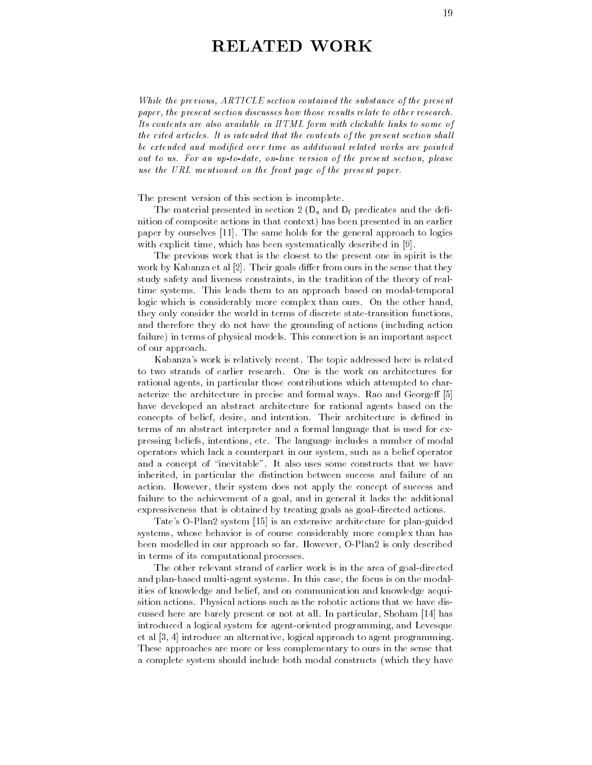# RELATED WORK

While the previous, ARTICLE section contained the substance of the present paper, the present section discusses how those results relate to other research. Its contents are also available in HTML form with clickable links to some of the cited articles. It is intended that the contents of the present section shall be extended and modified over time as additional related works are pointed out to us. For an up-to-date, on-line version of the present section, please use the URL mentioned on the front page of the present paper

#### The present version of this section is incomplete

The material presented in section 2  $(D_s$  and  $D_f$  predicates and the definition of composite actions in that context) has been presented in an earlier paper by ourselves [11]. The same holds for the general approach to logics with explicit time, which has been systematically described in  $[9]$ .

The previous work that is the closest to the present one in spirit is the work by Kabanza et al  $[2]$ . Their goals differ from ours in the sense that they study safety and liveness constraints in the tradition of the theory of realtime systems This leads them to an approach based on modal-temporal logic which is considerably more complex than ours. On the other hand, they only consider the world in terms of discrete state-transition functions and therefore they do not have the grounding of actions (including action failure) in terms of physical models. This connection is an important aspect of our approach

Kabanza's work is relatively recent. The topic addressed here is related to two strands of earlier research One is the work on architectures for rational agents, in particular those contributions which attempted to characterize the architecture in precise and formal ways Rao and George have developed an abstract architecture for rational agents based on the concepts of belief, desire, and intention. Their architecture is defined in terms of an abstract interpreter and a formal language that is used for expressing beliefs intentions etc The language includes a number of modal operators which lack a counterpart in our system, such as a belief operator and a concept of "inevitable". It also uses some constructs that we have inherited, in particular the distinction between success and failure of an action. However, their system does not apply the concept of success and failure to the achievement of a goal, and in general it lacks the additional expressiveness that is obtained by treating goals as goal-directed actions

Tates O-Plan system is an extensive architecture for plan-guided systems, whose behavior is of course considerably more complex than has been modelled in our approach so far However O-Plan is only described in terms of its computational processes

The other relevant strand of earlier work is in the area of goal-directed and plans samed multi-systems is the model in this case of the model in the model ities of knowledge and belief, and on communication and knowledge acquisition actions Physical actions such as the robotic actions that we have discussed here are barely present or not at all. In particular, Shoham [14] has introduced a logical system for agent-oriented programming and Levesque et al  $[3, 4]$  introduce an alternative, logical approach to agent programming. These approaches are more or less complementary to ours in the sense that a complete system should include both modal constructs (which they have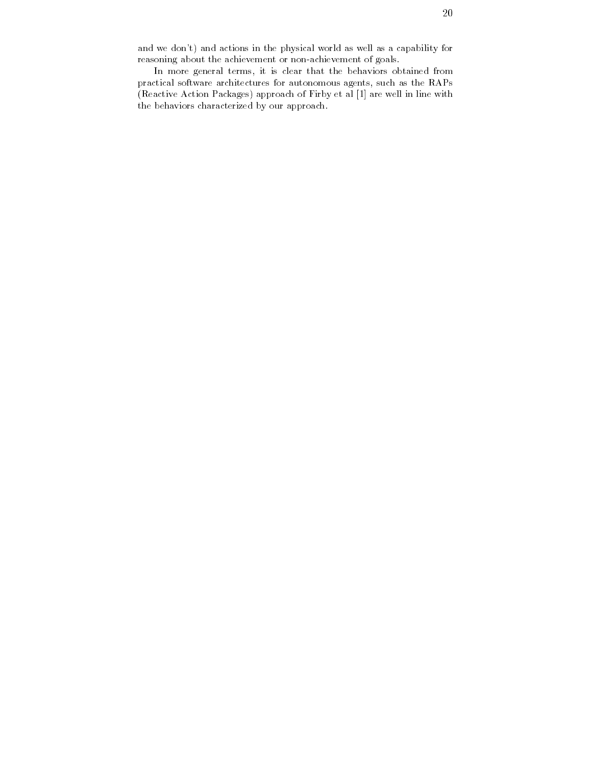and we don't) and actions in the physical world as well as a capability for reasoning about the achievement or non-achievement of goals

In more general terms, it is clear that the behaviors obtained from practical software architectures for autonomous agents, such as the RAPs (Reactive Action Packages) approach of Firby et al [1] are well in line with the behaviors characterized by our approach